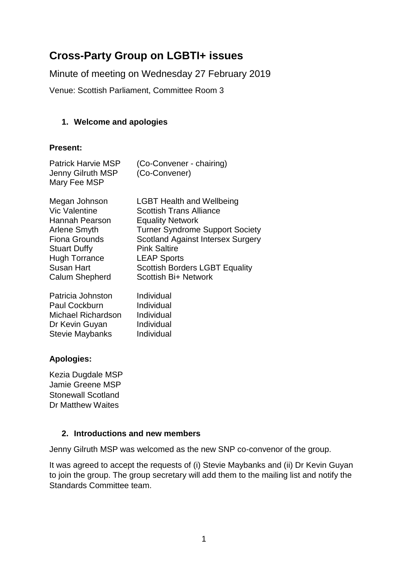# **Cross-Party Group on LGBTI+ issues**

Minute of meeting on Wednesday 27 February 2019

Venue: Scottish Parliament, Committee Room 3

### **1. Welcome and apologies**

### **Present:**

| <b>Patrick Harvie MSP</b> | (Co-Convener - chairing) |
|---------------------------|--------------------------|
| Jenny Gilruth MSP         | (Co-Convener)            |
| Mary Fee MSP              |                          |

| <b>LGBT Health and Wellbeing</b>         |
|------------------------------------------|
| <b>Scottish Trans Alliance</b>           |
| <b>Equality Network</b>                  |
| <b>Turner Syndrome Support Society</b>   |
| <b>Scotland Against Intersex Surgery</b> |
| <b>Pink Saltire</b>                      |
| <b>LEAP Sports</b>                       |
| <b>Scottish Borders LGBT Equality</b>    |
| Scottish Bi+ Network                     |
|                                          |

| Patricia Johnston         | Individual |
|---------------------------|------------|
| Paul Cockburn             | Individual |
| <b>Michael Richardson</b> | Individual |
| Dr Kevin Guyan            | Individual |
| <b>Stevie Maybanks</b>    | Individual |
|                           |            |

# **Apologies:**

Kezia Dugdale MSP Jamie Greene MSP Stonewall Scotland Dr Matthew Waites

### **2. Introductions and new members**

Jenny Gilruth MSP was welcomed as the new SNP co-convenor of the group.

It was agreed to accept the requests of (i) Stevie Maybanks and (ii) Dr Kevin Guyan to join the group. The group secretary will add them to the mailing list and notify the Standards Committee team.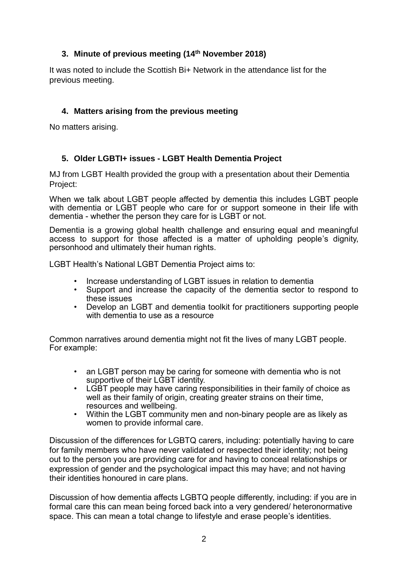# **3. Minute of previous meeting (14th November 2018)**

It was noted to include the Scottish Bi+ Network in the attendance list for the previous meeting.

# **4. Matters arising from the previous meeting**

No matters arising.

## **5. Older LGBTI+ issues - LGBT Health Dementia Project**

MJ from LGBT Health provided the group with a presentation about their Dementia Project:

When we talk about LGBT people affected by dementia this includes LGBT people with dementia or LGBT people who care for or support someone in their life with dementia - whether the person they care for is LGBT or not.

Dementia is a growing global health challenge and ensuring equal and meaningful access to support for those affected is a matter of upholding people's dignity, personhood and ultimately their human rights.

LGBT Health's National LGBT Dementia Project aims to:

- Increase understanding of LGBT issues in relation to dementia<br>• Sunnort and increase the capacity of the dementia sector to
- Support and increase the capacity of the dementia sector to respond to these issues
- Develop an LGBT and dementia toolkit for practitioners supporting people with dementia to use as a resource

Common narratives around dementia might not fit the lives of many LGBT people. For example:

- an LGBT person may be caring for someone with dementia who is not supportive of their LGBT identity.
- LGBT people may have caring responsibilities in their family of choice as well as their family of origin, creating greater strains on their time, resources and wellbeing.
- Within the LGBT community men and non-binary people are as likely as women to provide informal care.

Discussion of the differences for LGBTQ carers, including: potentially having to care for family members who have never validated or respected their identity; not being out to the person you are providing care for and having to conceal relationships or expression of gender and the psychological impact this may have; and not having their identities honoured in care plans.

Discussion of how dementia affects LGBTQ people differently, including: if you are in formal care this can mean being forced back into a very gendered/ heteronormative space. This can mean a total change to lifestyle and erase people's identities.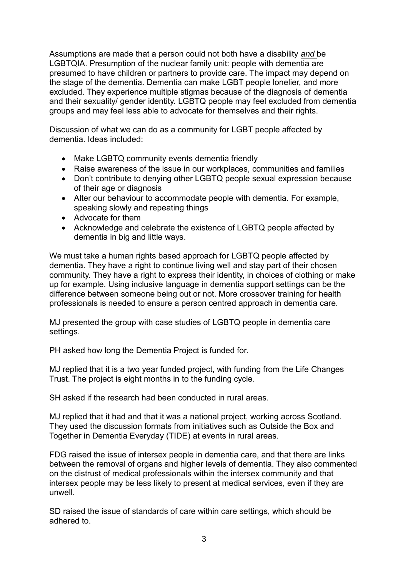Assumptions are made that a person could not both have a disability *and* be LGBTQIA. Presumption of the nuclear family unit: people with dementia are presumed to have children or partners to provide care. The impact may depend on the stage of the dementia. Dementia can make LGBT people lonelier, and more excluded. They experience multiple stigmas because of the diagnosis of dementia and their sexuality/ gender identity. LGBTQ people may feel excluded from dementia groups and may feel less able to advocate for themselves and their rights.

Discussion of what we can do as a community for LGBT people affected by dementia. Ideas included:

- Make LGBTQ community events dementia friendly
- Raise awareness of the issue in our workplaces, communities and families
- Don't contribute to denying other LGBTQ people sexual expression because of their age or diagnosis
- Alter our behaviour to accommodate people with dementia. For example, speaking slowly and repeating things
- Advocate for them
- Acknowledge and celebrate the existence of LGBTQ people affected by dementia in big and little ways.

We must take a human rights based approach for LGBTQ people affected by dementia. They have a right to continue living well and stay part of their chosen community. They have a right to express their identity, in choices of clothing or make up for example. Using inclusive language in dementia support settings can be the difference between someone being out or not. More crossover training for health professionals is needed to ensure a person centred approach in dementia care.

MJ presented the group with case studies of LGBTQ people in dementia care settings.

PH asked how long the Dementia Project is funded for.

MJ replied that it is a two year funded project, with funding from the Life Changes Trust. The project is eight months in to the funding cycle.

SH asked if the research had been conducted in rural areas.

MJ replied that it had and that it was a national project, working across Scotland. They used the discussion formats from initiatives such as Outside the Box and Together in Dementia Everyday (TIDE) at events in rural areas.

FDG raised the issue of intersex people in dementia care, and that there are links between the removal of organs and higher levels of dementia. They also commented on the distrust of medical professionals within the intersex community and that intersex people may be less likely to present at medical services, even if they are unwell.

SD raised the issue of standards of care within care settings, which should be adhered to.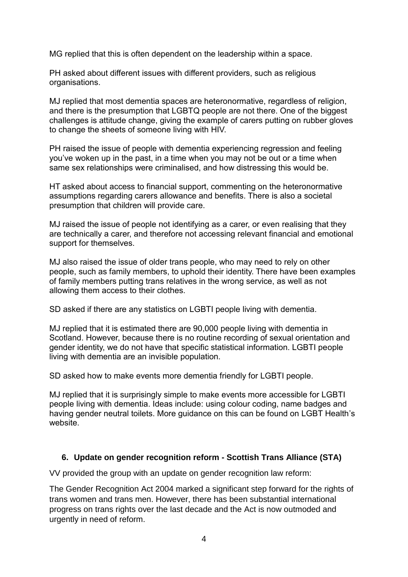MG replied that this is often dependent on the leadership within a space.

PH asked about different issues with different providers, such as religious organisations.

MJ replied that most dementia spaces are heteronormative, regardless of religion, and there is the presumption that LGBTQ people are not there. One of the biggest challenges is attitude change, giving the example of carers putting on rubber gloves to change the sheets of someone living with HIV.

PH raised the issue of people with dementia experiencing regression and feeling you've woken up in the past, in a time when you may not be out or a time when same sex relationships were criminalised, and how distressing this would be.

HT asked about access to financial support, commenting on the heteronormative assumptions regarding carers allowance and benefits. There is also a societal presumption that children will provide care.

MJ raised the issue of people not identifying as a carer, or even realising that they are technically a carer, and therefore not accessing relevant financial and emotional support for themselves.

MJ also raised the issue of older trans people, who may need to rely on other people, such as family members, to uphold their identity. There have been examples of family members putting trans relatives in the wrong service, as well as not allowing them access to their clothes.

SD asked if there are any statistics on LGBTI people living with dementia.

MJ replied that it is estimated there are 90,000 people living with dementia in Scotland. However, because there is no routine recording of sexual orientation and gender identity, we do not have that specific statistical information. LGBTI people living with dementia are an invisible population.

SD asked how to make events more dementia friendly for LGBTI people.

MJ replied that it is surprisingly simple to make events more accessible for LGBTI people living with dementia. Ideas include: using colour coding, name badges and having gender neutral toilets. More guidance on this can be found on LGBT Health's website.

### **6. Update on gender recognition reform - Scottish Trans Alliance (STA)**

VV provided the group with an update on gender recognition law reform:

The Gender Recognition Act 2004 marked a significant step forward for the rights of trans women and trans men. However, there has been substantial international progress on trans rights over the last decade and the Act is now outmoded and urgently in need of reform.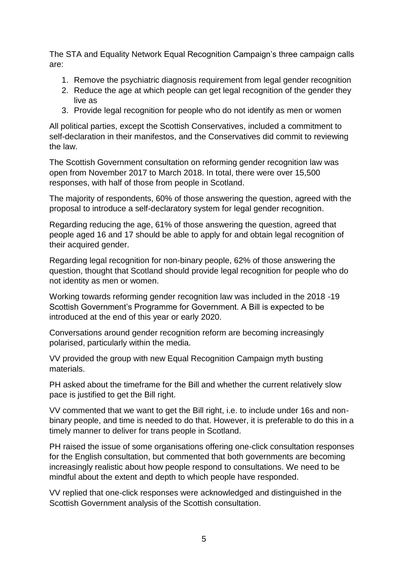The STA and Equality Network Equal Recognition Campaign's three campaign calls are:

- 1. Remove the psychiatric diagnosis requirement from legal gender recognition
- 2. Reduce the age at which people can get legal recognition of the gender they live as
- 3. Provide legal recognition for people who do not identify as men or women

All political parties, except the Scottish Conservatives, included a commitment to self-declaration in their manifestos, and the Conservatives did commit to reviewing the law.

The Scottish Government consultation on reforming gender recognition law was open from November 2017 to March 2018. In total, there were over 15,500 responses, with half of those from people in Scotland.

The majority of respondents, 60% of those answering the question, agreed with the proposal to introduce a self-declaratory system for legal gender recognition.

Regarding reducing the age, 61% of those answering the question, agreed that people aged 16 and 17 should be able to apply for and obtain legal recognition of their acquired gender.

Regarding legal recognition for non-binary people, 62% of those answering the question, thought that Scotland should provide legal recognition for people who do not identity as men or women.

Working towards reforming gender recognition law was included in the 2018 -19 Scottish Government's Programme for Government. A Bill is expected to be introduced at the end of this year or early 2020.

Conversations around gender recognition reform are becoming increasingly polarised, particularly within the media.

VV provided the group with new Equal Recognition Campaign myth busting materials.

PH asked about the timeframe for the Bill and whether the current relatively slow pace is justified to get the Bill right.

VV commented that we want to get the Bill right, i.e. to include under 16s and nonbinary people, and time is needed to do that. However, it is preferable to do this in a timely manner to deliver for trans people in Scotland.

PH raised the issue of some organisations offering one-click consultation responses for the English consultation, but commented that both governments are becoming increasingly realistic about how people respond to consultations. We need to be mindful about the extent and depth to which people have responded.

VV replied that one-click responses were acknowledged and distinguished in the Scottish Government analysis of the Scottish consultation.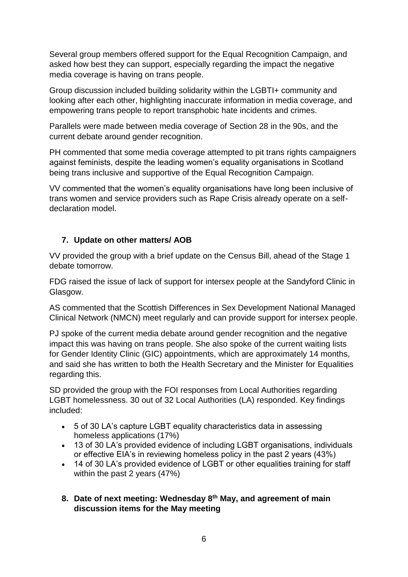Several group members offered support for the Equal Recognition Campaign, and asked how best they can support, especially regarding the impact the negative media coverage is having on trans people.

Group discussion included building solidarity within the LGBTI+ community and looking after each other, highlighting inaccurate information in media coverage, and empowering trans people to report transphobic hate incidents and crimes.

Parallels were made between media coverage of Section 28 in the 90s, and the current debate around gender recognition.

PH commented that some media coverage attempted to pit trans rights campaigners against feminists, despite the leading women's equality organisations in Scotland being trans inclusive and supportive of the Equal Recognition Campaign.

VV commented that the women's equality organisations have long been inclusive of trans women and service providers such as Rape Crisis already operate on a selfdeclaration model.

## **7. Update on other matters/ AOB**

VV provided the group with a brief update on the Census Bill, ahead of the Stage 1 debate tomorrow.

FDG raised the issue of lack of support for intersex people at the Sandyford Clinic in Glasgow.

AS commented that the Scottish Differences in Sex Development National Managed Clinical Network (NMCN) meet regularly and can provide support for intersex people.

PJ spoke of the current media debate around gender recognition and the negative impact this was having on trans people. She also spoke of the current waiting lists for Gender Identity Clinic (GIC) appointments, which are approximately 14 months, and said she has written to both the Health Secretary and the Minister for Equalities regarding this.

SD provided the group with the FOI responses from Local Authorities regarding LGBT homelessness. 30 out of 32 Local Authorities (LA) responded. Key findings included:

- 5 of 30 LA's capture LGBT equality characteristics data in assessing homeless applications (17%)
- 13 of 30 LA's provided evidence of including LGBT organisations, individuals or effective EIA's in reviewing homeless policy in the past 2 years (43%)
- 14 of 30 LA's provided evidence of LGBT or other equalities training for staff within the past 2 years (47%)
- **8. Date of next meeting: Wednesday 8 th May, and agreement of main discussion items for the May meeting**